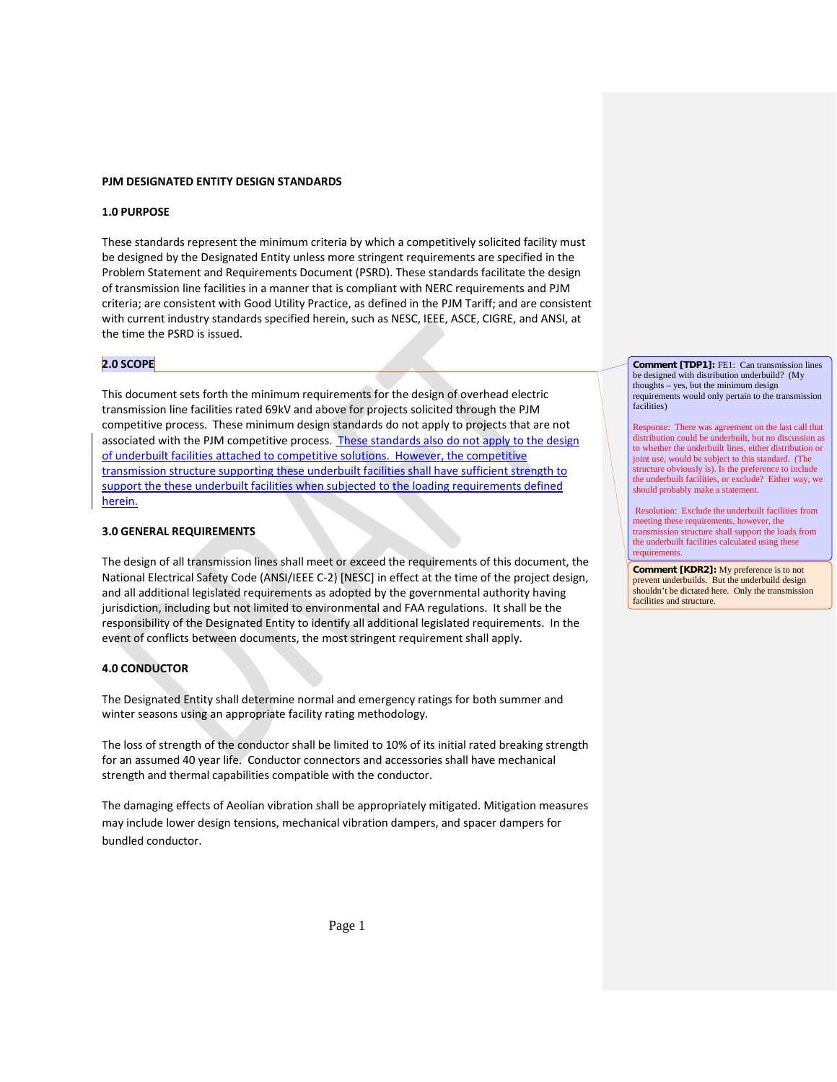### **PJM DESIGNATED ENTITY DESIGN STANDARDS**

#### **1.0 PURPOSE**

These standards represent the minimum criteria by which a competitively solicited facility must be designed by the Designated Entity unless more stringent requirements are specified in the Problem Statement and Requirements Document (PSRD). These standards facilitate the design of transmission line facilities in a manner that is compliant with NERC requirements and PJM criteria; are consistent with Good Utility Practice, as defined in the PJM Tariff; and are consistent with current industry standards specified herein, such as NESC, IEEE, ASCE, CIGRE, and ANSI, at the time the PSRD is issued.

#### **2.0 SCOPE**

This document sets forth the minimum requirements for the design of overhead electric transmission line facilities rated 69kV and above for projects solicited through the PJM competitive process. These minimum design standards do not apply to projects that are not associated with the PJM competitive process. These standards also do not apply to the design of underbuilt facilities attached to competitive solutions. However, the competitive transmission structure supporting these underbuilt facilities shall have sufficient strength to support the these underbuilt facilities when subjected to the loading requirements defined herein.

### **3.0 GENERAL REQUIREMENTS**

The design of all transmission lines shall meet or exceed the requirements of this document, the National Electrical Safety Code (ANSI/IEEE C-2) [NESC] in effect at the time of the project design, and all additional legislated requirements as adopted by the governmental authority having jurisdiction, including but not limited to environmental and FAA regulations. It shall be the responsibility of the Designated Entity to identify all additional legislated requirements. In the event of conflicts between documents, the most stringent requirement shall apply.

# **4.0 CONDUCTOR**

The Designated Entity shall determine normal and emergency ratings for both summer and winter seasons using an appropriate facility rating methodology.

The loss of strength of the conductor shall be limited to 10% of its initial rated breaking strength for an assumed 40 year life. Conductor connectors and accessories shall have mechanical strength and thermal capabilities compatible with the conductor.

The damaging effects of Aeolian vibration shall be appropriately mitigated. Mitigation measures may include lower design tensions, mechanical vibration dampers, and spacer dampers for bundled conductor.

**Comment [TDP1]:** FE1: Can transmission lines be designed with distribution underbuild? (My thoughts – yes, but the minimum design requirements would only pertain to the transmission facilities)

Response: There was agreement on the last call that distribution could be underbuilt, but no discussion as to whether the underbuilt lines, either distribution or joint use, would be subject to this standard. (The structure obviously is). Is the preference to include the underbuilt facilities, or exclude? Either way, we should probably make a statement.

Resolution: Exclude the underbuilt facilities from meeting these requirements, however, the transmission structure shall support the loads from the underbuilt facilities calculated using these requirements.

**Comment [KDR2]:** My preference is to not prevent underbuilds. But the underbuild design shouldn't be dictated here. Only the transmission facilities and structure.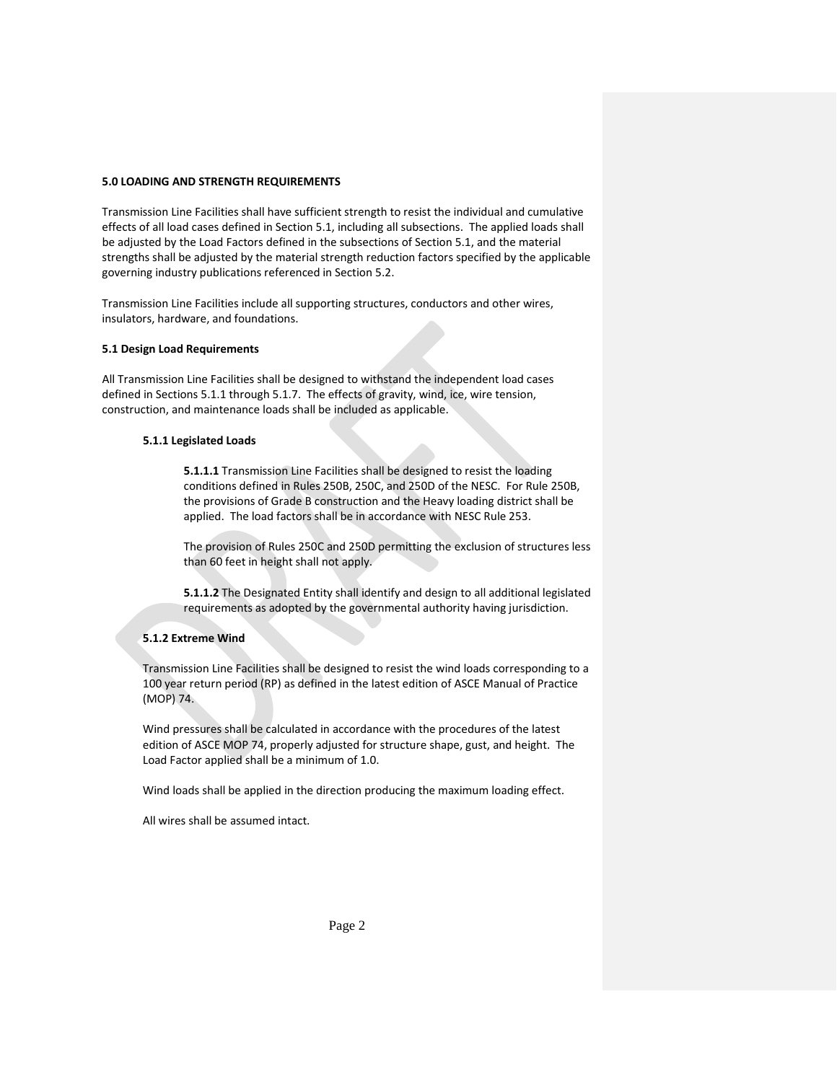### **5.0 LOADING AND STRENGTH REQUIREMENTS**

Transmission Line Facilities shall have sufficient strength to resist the individual and cumulative effects of all load cases defined in Section 5.1, including all subsections. The applied loads shall be adjusted by the Load Factors defined in the subsections of Section 5.1, and the material strengths shall be adjusted by the material strength reduction factors specified by the applicable governing industry publications referenced in Section 5.2.

Transmission Line Facilities include all supporting structures, conductors and other wires, insulators, hardware, and foundations.

### **5.1 Design Load Requirements**

All Transmission Line Facilities shall be designed to withstand the independent load cases defined in Sections 5.1.1 through 5.1.7. The effects of gravity, wind, ice, wire tension, construction, and maintenance loads shall be included as applicable.

#### **5.1.1 Legislated Loads**

**5.1.1.1** Transmission Line Facilities shall be designed to resist the loading conditions defined in Rules 250B, 250C, and 250D of the NESC. For Rule 250B, the provisions of Grade B construction and the Heavy loading district shall be applied. The load factors shall be in accordance with NESC Rule 253.

The provision of Rules 250C and 250D permitting the exclusion of structures less than 60 feet in height shall not apply.

**5.1.1.2** The Designated Entity shall identify and design to all additional legislated requirements as adopted by the governmental authority having jurisdiction.

## **5.1.2 Extreme Wind**

Transmission Line Facilities shall be designed to resist the wind loads corresponding to a 100 year return period (RP) as defined in the latest edition of ASCE Manual of Practice (MOP) 74.

Wind pressures shall be calculated in accordance with the procedures of the latest edition of ASCE MOP 74, properly adjusted for structure shape, gust, and height. The Load Factor applied shall be a minimum of 1.0.

Wind loads shall be applied in the direction producing the maximum loading effect.

All wires shall be assumed intact.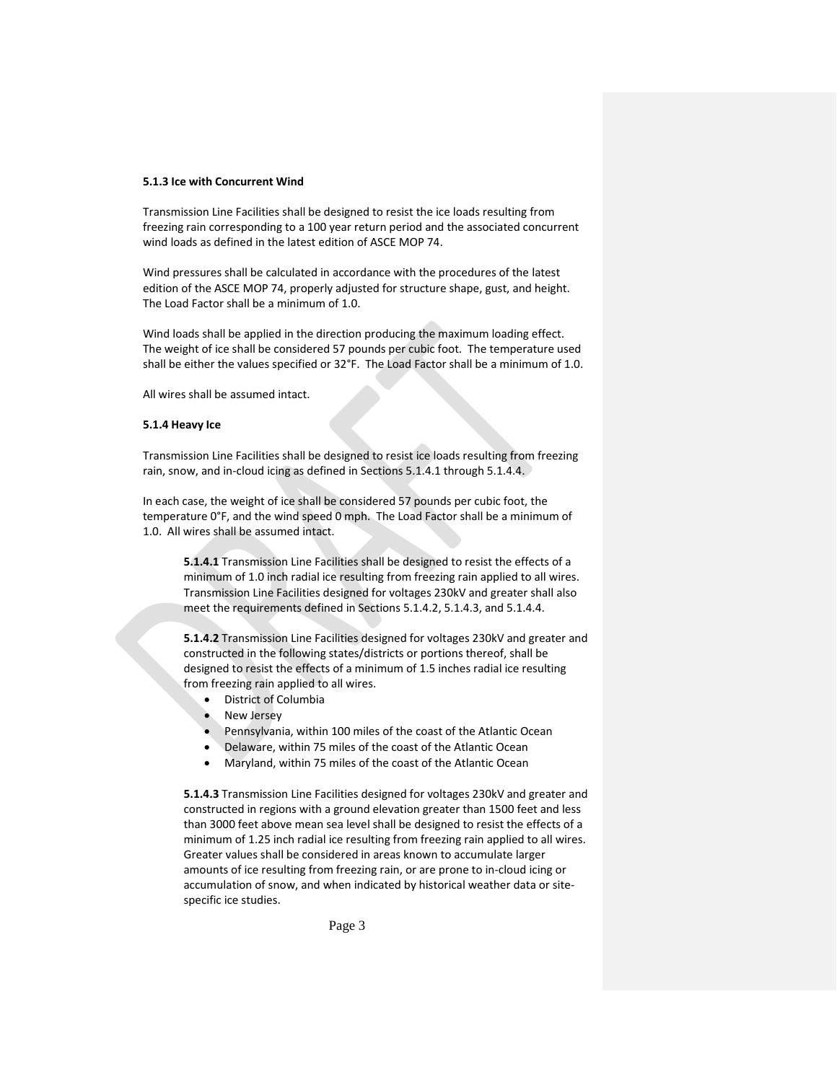### **5.1.3 Ice with Concurrent Wind**

Transmission Line Facilities shall be designed to resist the ice loads resulting from freezing rain corresponding to a 100 year return period and the associated concurrent wind loads as defined in the latest edition of ASCE MOP 74.

Wind pressures shall be calculated in accordance with the procedures of the latest edition of the ASCE MOP 74, properly adjusted for structure shape, gust, and height. The Load Factor shall be a minimum of 1.0.

Wind loads shall be applied in the direction producing the maximum loading effect. The weight of ice shall be considered 57 pounds per cubic foot. The temperature used shall be either the values specified or 32°F. The Load Factor shall be a minimum of 1.0.

All wires shall be assumed intact.

#### **5.1.4 Heavy Ice**

Transmission Line Facilities shall be designed to resist ice loads resulting from freezing rain, snow, and in-cloud icing as defined in Sections 5.1.4.1 through 5.1.4.4.

In each case, the weight of ice shall be considered 57 pounds per cubic foot, the temperature 0°F, and the wind speed 0 mph. The Load Factor shall be a minimum of 1.0. All wires shall be assumed intact.

**5.1.4.1** Transmission Line Facilities shall be designed to resist the effects of a minimum of 1.0 inch radial ice resulting from freezing rain applied to all wires. Transmission Line Facilities designed for voltages 230kV and greater shall also meet the requirements defined in Sections 5.1.4.2, 5.1.4.3, and 5.1.4.4.

**5.1.4.2** Transmission Line Facilities designed for voltages 230kV and greater and constructed in the following states/districts or portions thereof, shall be designed to resist the effects of a minimum of 1.5 inches radial ice resulting from freezing rain applied to all wires.

- District of Columbia
- **New Jersey**
- Pennsylvania, within 100 miles of the coast of the Atlantic Ocean
- Delaware, within 75 miles of the coast of the Atlantic Ocean
- Maryland, within 75 miles of the coast of the Atlantic Ocean

**5.1.4.3** Transmission Line Facilities designed for voltages 230kV and greater and constructed in regions with a ground elevation greater than 1500 feet and less than 3000 feet above mean sea level shall be designed to resist the effects of a minimum of 1.25 inch radial ice resulting from freezing rain applied to all wires. Greater values shall be considered in areas known to accumulate larger amounts of ice resulting from freezing rain, or are prone to in-cloud icing or accumulation of snow, and when indicated by historical weather data or sitespecific ice studies.

Page 3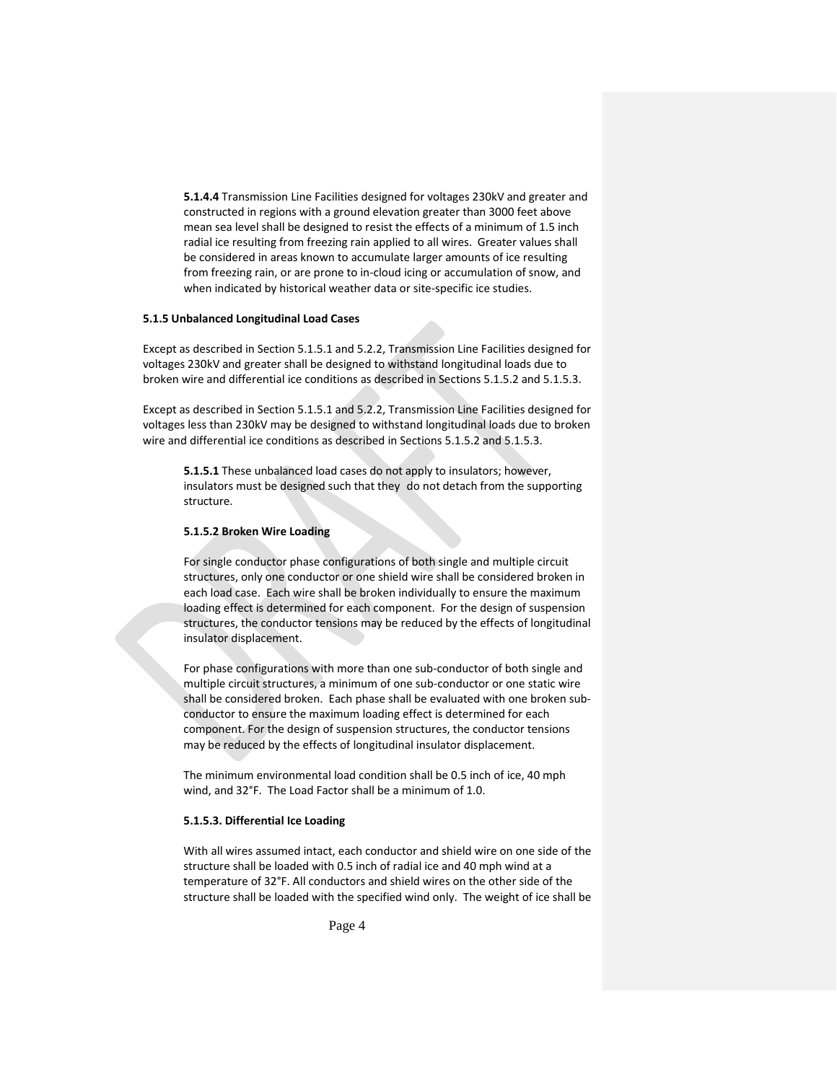**5.1.4.4** Transmission Line Facilities designed for voltages 230kV and greater and constructed in regions with a ground elevation greater than 3000 feet above mean sea level shall be designed to resist the effects of a minimum of 1.5 inch radial ice resulting from freezing rain applied to all wires. Greater values shall be considered in areas known to accumulate larger amounts of ice resulting from freezing rain, or are prone to in-cloud icing or accumulation of snow, and when indicated by historical weather data or site-specific ice studies.

#### **5.1.5 Unbalanced Longitudinal Load Cases**

Except as described in Section 5.1.5.1 and 5.2.2, Transmission Line Facilities designed for voltages 230kV and greater shall be designed to withstand longitudinal loads due to broken wire and differential ice conditions as described in Sections 5.1.5.2 and 5.1.5.3.

Except as described in Section 5.1.5.1 and 5.2.2, Transmission Line Facilities designed for voltages less than 230kV may be designed to withstand longitudinal loads due to broken wire and differential ice conditions as described in Sections 5.1.5.2 and 5.1.5.3.

**5.1.5.1** These unbalanced load cases do not apply to insulators; however, insulators must be designed such that they do not detach from the supporting structure.

#### **5.1.5.2 Broken Wire Loading**

For single conductor phase configurations of both single and multiple circuit structures, only one conductor or one shield wire shall be considered broken in each load case. Each wire shall be broken individually to ensure the maximum loading effect is determined for each component. For the design of suspension structures, the conductor tensions may be reduced by the effects of longitudinal insulator displacement.

For phase configurations with more than one sub-conductor of both single and multiple circuit structures, a minimum of one sub-conductor or one static wire shall be considered broken. Each phase shall be evaluated with one broken subconductor to ensure the maximum loading effect is determined for each component. For the design of suspension structures, the conductor tensions may be reduced by the effects of longitudinal insulator displacement.

The minimum environmental load condition shall be 0.5 inch of ice, 40 mph wind, and 32°F. The Load Factor shall be a minimum of 1.0.

#### **5.1.5.3. Differential Ice Loading**

With all wires assumed intact, each conductor and shield wire on one side of the structure shall be loaded with 0.5 inch of radial ice and 40 mph wind at a temperature of 32°F. All conductors and shield wires on the other side of the structure shall be loaded with the specified wind only. The weight of ice shall be

Page 4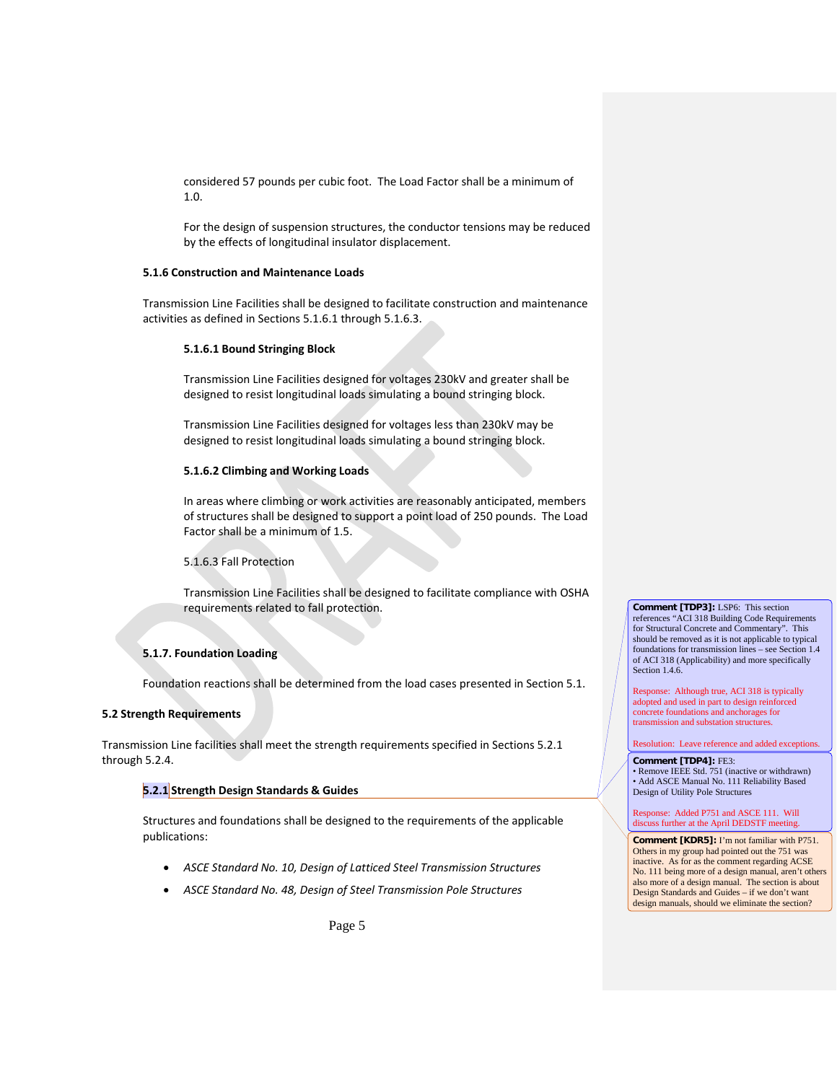considered 57 pounds per cubic foot. The Load Factor shall be a minimum of 1.0.

For the design of suspension structures, the conductor tensions may be reduced by the effects of longitudinal insulator displacement.

### **5.1.6 Construction and Maintenance Loads**

Transmission Line Facilities shall be designed to facilitate construction and maintenance activities as defined in Sections 5.1.6.1 through 5.1.6.3.

#### **5.1.6.1 Bound Stringing Block**

Transmission Line Facilities designed for voltages 230kV and greater shall be designed to resist longitudinal loads simulating a bound stringing block.

Transmission Line Facilities designed for voltages less than 230kV may be designed to resist longitudinal loads simulating a bound stringing block.

#### **5.1.6.2 Climbing and Working Loads**

In areas where climbing or work activities are reasonably anticipated, members of structures shall be designed to support a point load of 250 pounds. The Load Factor shall be a minimum of 1.5.

### 5.1.6.3 Fall Protection

Transmission Line Facilities shall be designed to facilitate compliance with OSHA requirements related to fall protection.

## **5.1.7. Foundation Loading**

Foundation reactions shall be determined from the load cases presented in Section 5.1.

## **5.2 Strength Requirements**

Transmission Line facilities shall meet the strength requirements specified in Sections 5.2.1 through 5.2.4.

### **5.2.1 Strength Design Standards & Guides**

Structures and foundations shall be designed to the requirements of the applicable publications:

- *ASCE Standard No. 10, Design of Latticed Steel Transmission Structures*
- *ASCE Standard No. 48, Design of Steel Transmission Pole Structures*

**Comment [TDP3]:** LSP6: This section references "ACI 318 Building Code Requirements for Structural Concrete and Commentary". This should be removed as it is not applicable to typical foundations for transmission lines – see Section 1.4 of ACI 318 (Applicability) and more specifically Section 1.4.6.

Response: Although true, ACI 318 is typically adopted and used in part to design reinforced concrete foundations and anchorages for transmission and substation structures.

#### Resolution: Leave reference and added exceptions.

#### **Comment [TDP4]:** FE3:

• Remove IEEE Std. 751 (inactive or withdrawn) • Add ASCE Manual No. 111 Reliability Based Design of Utility Pole Structures

#### Response: Added P751 and ASCE 111. Will discuss further at the April DEDSTF meeting.

**Comment [KDR5]:** I'm not familiar with P751. Others in my group had pointed out the 751 was inactive. As for as the comment regarding ACSE No. 111 being more of a design manual, aren't others also more of a design manual. The section is about Design Standards and Guides – if we don't want design manuals, should we eliminate the section?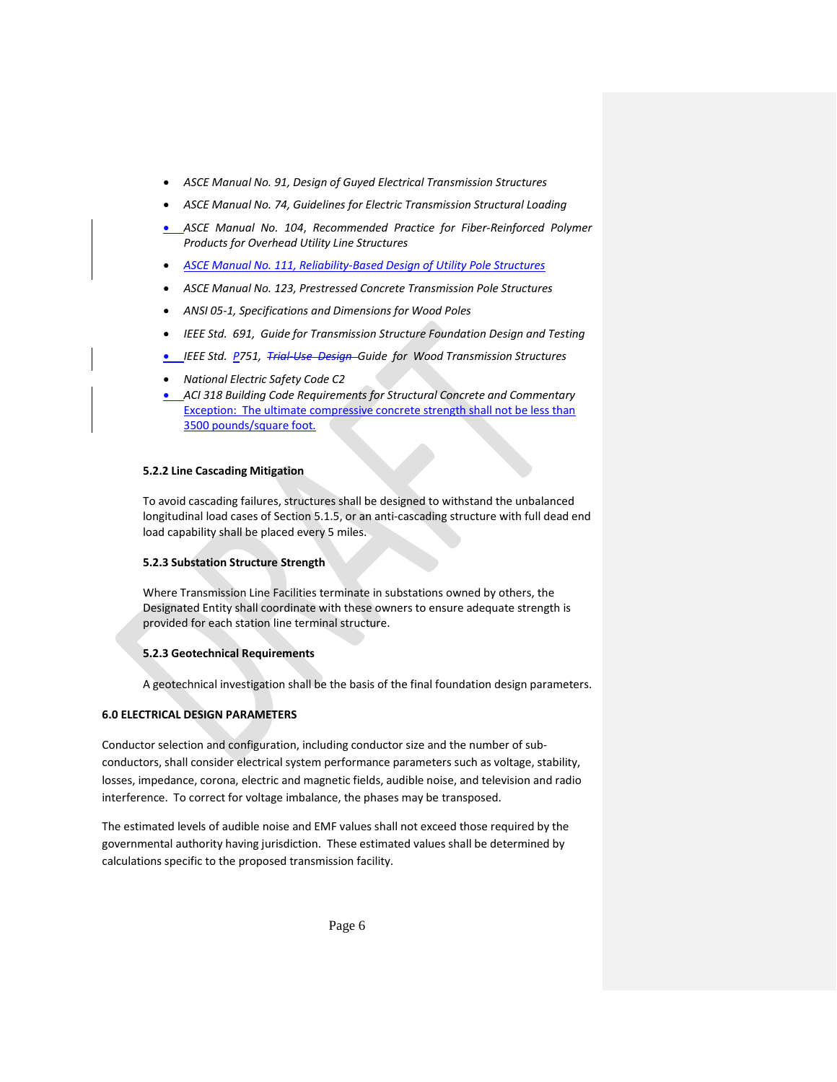- *ASCE Manual No. 91, Design of Guyed Electrical Transmission Structures*
- *ASCE Manual No. 74, Guidelines for Electric Transmission Structural Loading*
- *ASCE Manual No. 104*, *Recommended Practice for Fiber-Reinforced Polymer Products for Overhead Utility Line Structures*
- *ASCE Manual No. 111, Reliability-Based Design of Utility Pole Structures*
- *ASCE Manual No. 123, Prestressed Concrete Transmission Pole Structures*
- *ANSI 05-1, Specifications and Dimensions for Wood Poles*
- *IEEE Std. 691, Guide for Transmission Structure Foundation Design and Testing*
- *IEEE Std. P751, Trial-Use Design Guide for Wood Transmission Structures*
- *National Electric Safety Code C2*
- *ACI 318 Building Code Requirements for Structural Concrete and Commentary* Exception: The ultimate compressive concrete strength shall not be less than 3500 pounds/square foot.

#### **5.2.2 Line Cascading Mitigation**

To avoid cascading failures, structures shall be designed to withstand the unbalanced longitudinal load cases of Section 5.1.5, or an anti-cascading structure with full dead end load capability shall be placed every 5 miles.

### **5.2.3 Substation Structure Strength**

Where Transmission Line Facilities terminate in substations owned by others, the Designated Entity shall coordinate with these owners to ensure adequate strength is provided for each station line terminal structure.

### **5.2.3 Geotechnical Requirements**

A geotechnical investigation shall be the basis of the final foundation design parameters.

## **6.0 ELECTRICAL DESIGN PARAMETERS**

Conductor selection and configuration, including conductor size and the number of subconductors, shall consider electrical system performance parameters such as voltage, stability, losses, impedance, corona, electric and magnetic fields, audible noise, and television and radio interference. To correct for voltage imbalance, the phases may be transposed.

The estimated levels of audible noise and EMF values shall not exceed those required by the governmental authority having jurisdiction. These estimated values shall be determined by calculations specific to the proposed transmission facility.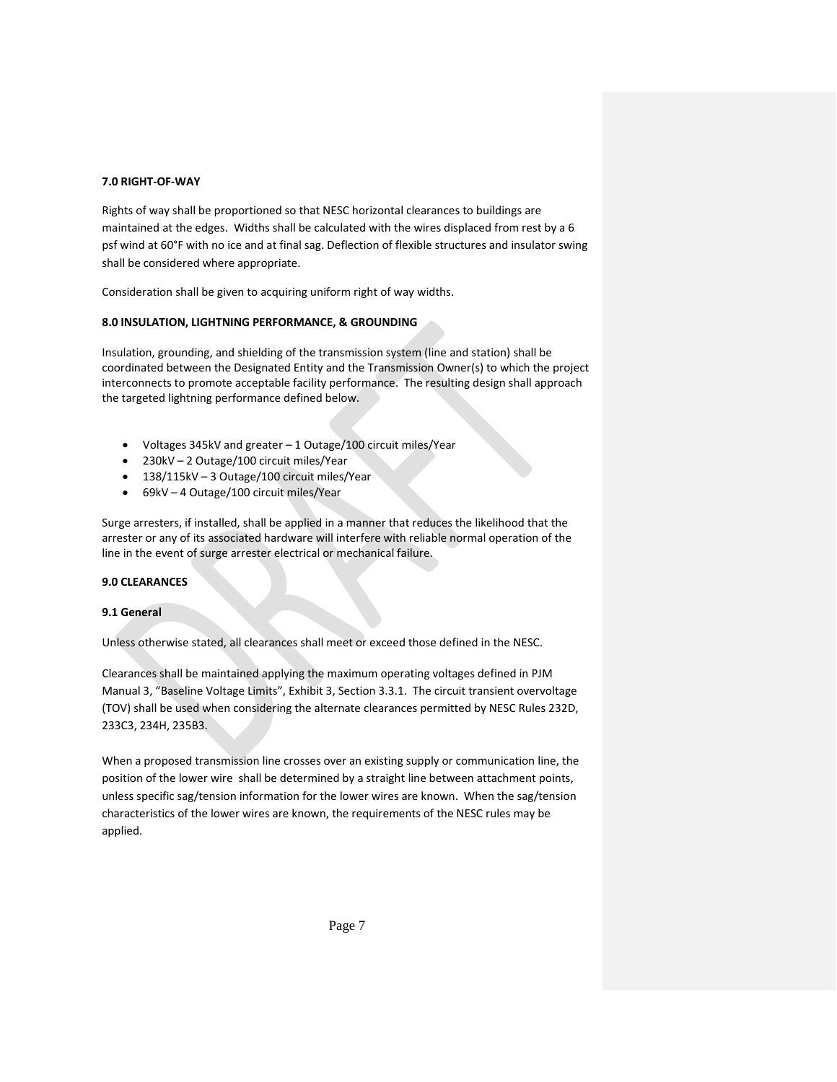# **7.0 RIGHT-OF-WAY**

Rights of way shall be proportioned so that NESC horizontal clearances to buildings are maintained at the edges. Widths shall be calculated with the wires displaced from rest by a 6 psf wind at 60°F with no ice and at final sag. Deflection of flexible structures and insulator swing shall be considered where appropriate.

Consideration shall be given to acquiring uniform right of way widths.

## **8.0 INSULATION, LIGHTNING PERFORMANCE, & GROUNDING**

Insulation, grounding, and shielding of the transmission system (line and station) shall be coordinated between the Designated Entity and the Transmission Owner(s) to which the project interconnects to promote acceptable facility performance. The resulting design shall approach the targeted lightning performance defined below.

- Voltages 345kV and greater 1 Outage/100 circuit miles/Year
- 230kV 2 Outage/100 circuit miles/Year
- 138/115kV 3 Outage/100 circuit miles/Year
- 69kV 4 Outage/100 circuit miles/Year

Surge arresters, if installed, shall be applied in a manner that reduces the likelihood that the arrester or any of its associated hardware will interfere with reliable normal operation of the line in the event of surge arrester electrical or mechanical failure.

### **9.0 CLEARANCES**

### **9.1 General**

Unless otherwise stated, all clearances shall meet or exceed those defined in the NESC.

Clearances shall be maintained applying the maximum operating voltages defined in PJM Manual 3, "Baseline Voltage Limits", Exhibit 3, Section 3.3.1. The circuit transient overvoltage (TOV) shall be used when considering the alternate clearances permitted by NESC Rules 232D, 233C3, 234H, 235B3.

When a proposed transmission line crosses over an existing supply or communication line, the position of the lower wire shall be determined by a straight line between attachment points, unless specific sag/tension information for the lower wires are known. When the sag/tension characteristics of the lower wires are known, the requirements of the NESC rules may be applied.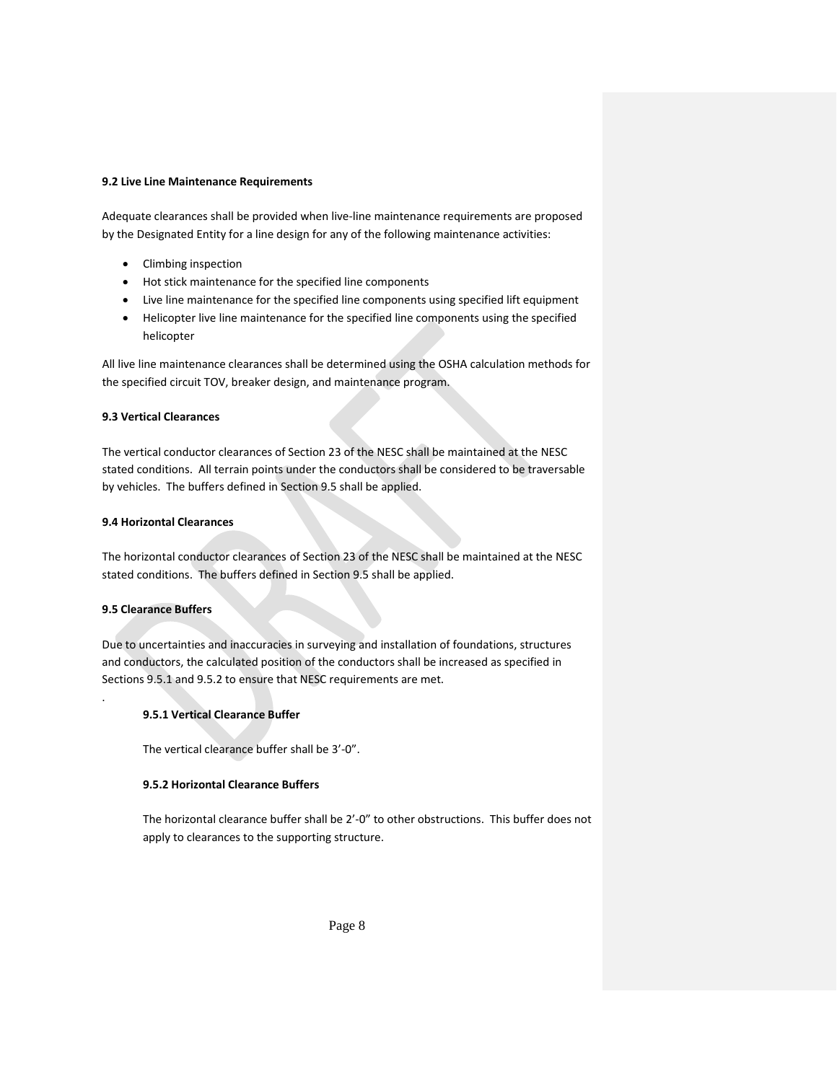### **9.2 Live Line Maintenance Requirements**

Adequate clearances shall be provided when live-line maintenance requirements are proposed by the Designated Entity for a line design for any of the following maintenance activities:

- Climbing inspection
- Hot stick maintenance for the specified line components
- Live line maintenance for the specified line components using specified lift equipment
- Helicopter live line maintenance for the specified line components using the specified helicopter

All live line maintenance clearances shall be determined using the OSHA calculation methods for the specified circuit TOV, breaker design, and maintenance program.

## **9.3 Vertical Clearances**

The vertical conductor clearances of Section 23 of the NESC shall be maintained at the NESC stated conditions. All terrain points under the conductors shall be considered to be traversable by vehicles. The buffers defined in Section 9.5 shall be applied.

## **9.4 Horizontal Clearances**

The horizontal conductor clearances of Section 23 of the NESC shall be maintained at the NESC stated conditions. The buffers defined in Section 9.5 shall be applied.

### **9.5 Clearance Buffers**

.

Due to uncertainties and inaccuracies in surveying and installation of foundations, structures and conductors, the calculated position of the conductors shall be increased as specified in Sections 9.5.1 and 9.5.2 to ensure that NESC requirements are met.

# **9.5.1 Vertical Clearance Buffer**

The vertical clearance buffer shall be 3'-0".

# **9.5.2 Horizontal Clearance Buffers**

The horizontal clearance buffer shall be 2'-0" to other obstructions. This buffer does not apply to clearances to the supporting structure.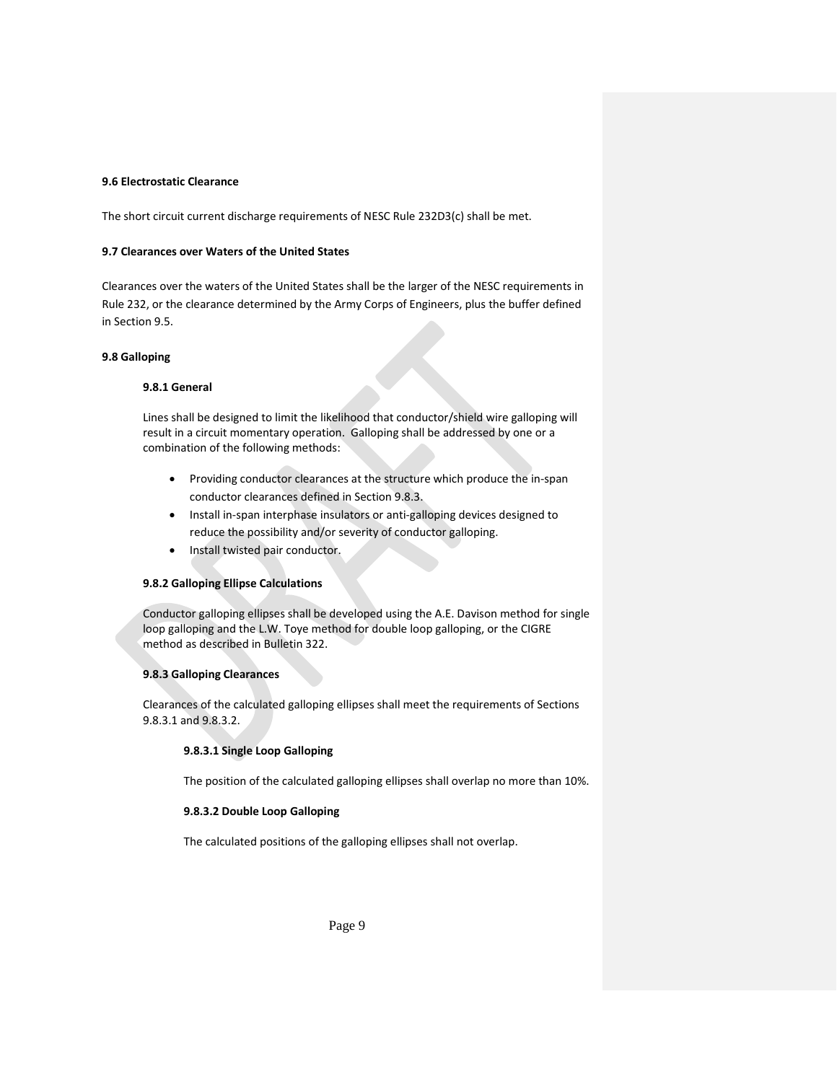# **9.6 Electrostatic Clearance**

The short circuit current discharge requirements of NESC Rule 232D3(c) shall be met.

### **9.7 Clearances over Waters of the United States**

Clearances over the waters of the United States shall be the larger of the NESC requirements in Rule 232, or the clearance determined by the Army Corps of Engineers, plus the buffer defined in Section 9.5.

### **9.8 Galloping**

## **9.8.1 General**

Lines shall be designed to limit the likelihood that conductor/shield wire galloping will result in a circuit momentary operation. Galloping shall be addressed by one or a combination of the following methods:

- Providing conductor clearances at the structure which produce the in-span conductor clearances defined in Section 9.8.3.
- Install in-span interphase insulators or anti-galloping devices designed to reduce the possibility and/or severity of conductor galloping.
- Install twisted pair conductor.

### **9.8.2 Galloping Ellipse Calculations**

Conductor galloping ellipses shall be developed using the A.E. Davison method for single loop galloping and the L.W. Toye method for double loop galloping, or the CIGRE method as described in Bulletin 322.

# **9.8.3 Galloping Clearances**

Clearances of the calculated galloping ellipses shall meet the requirements of Sections 9.8.3.1 and 9.8.3.2.

## **9.8.3.1 Single Loop Galloping**

The position of the calculated galloping ellipses shall overlap no more than 10%.

### **9.8.3.2 Double Loop Galloping**

The calculated positions of the galloping ellipses shall not overlap.